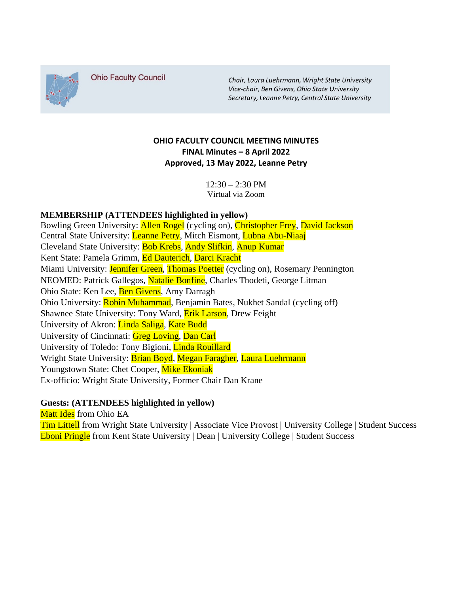

**Ohio Faculty Council** 

Chair, Laura Luehrmann, Wright State University Vice-chair, Ben Givens, Ohio State University Secretary, Leanne Petry, Central State University

## **OHIO FACULTY COUNCIL MEETING MINUTES FINAL Minutes – 8 April 2022 Approved, 13 May 2022, Leanne Petry**

 $12:30 - 2:30$  PM Virtual via Zoom

## **MEMBERSHIP (ATTENDEES highlighted in yellow)**

Bowling Green University: Allen Rogel (cycling on), Christopher Frey, David Jackson Central State University: Leanne Petry, Mitch Eismont, Lubna Abu-Niaaj Cleveland State University: Bob Krebs, Andy Slifkin, Anup Kumar Kent State: Pamela Grimm, Ed Dauterich, Darci Kracht Miami University: Jennifer Green, Thomas Poetter (cycling on), Rosemary Pennington NEOMED: Patrick Gallegos, Natalie Bonfine, Charles Thodeti, George Litman Ohio State: Ken Lee, Ben Givens, Amy Darragh Ohio University: Robin Muhammad, Benjamin Bates, Nukhet Sandal (cycling off) Shawnee State University: Tony Ward, **Erik Larson**, Drew Feight University of Akron: Linda Saliga, Kate Budd University of Cincinnati: Greg Loving, Dan Carl University of Toledo: Tony Bigioni, Linda Rouillard Wright State University: Brian Boyd, Megan Faragher, Laura Luehrmann Youngstown State: Chet Cooper, Mike Ekoniak Ex-officio: Wright State University, Former Chair Dan Krane

## **Guests: (ATTENDEES highlighted in yellow)**

Matt Ides from Ohio EA Tim Littell from Wright State University | Associate Vice Provost | University College | Student Success Eboni Pringle from Kent State University | Dean | University College | Student Success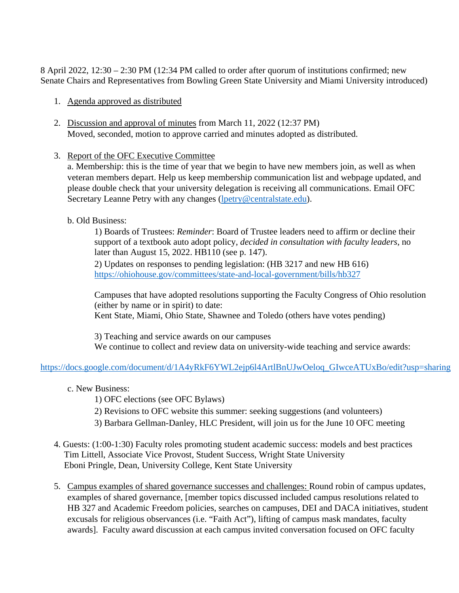8 April 2022, 12:30 – 2:30 PM (12:34 PM called to order after quorum of institutions confirmed; new Senate Chairs and Representatives from Bowling Green State University and Miami University introduced)

- 1. Agenda approved as distributed
- 2. Discussion and approval of minutes from March 11, 2022 (12:37 PM) Moved, seconded, motion to approve carried and minutes adopted as distributed.
- 3. Report of the OFC Executive Committee

a. Membership: this is the time of year that we begin to have new members join, as well as when veteran members depart. Help us keep membership communication list and webpage updated, and please double check that your university delegation is receiving all communications. Email OFC Secretary Leanne Petry with any changes [\(lpetry@centralstate.edu\)](mailto:lpetry@centralstate.edu).

b. Old Business:

1) Boards of Trustees: *Reminder*: Board of Trustee leaders need to affirm or decline their support of a textbook auto adopt policy, *decided in consultation with faculty leaders*, no later than August 15, 2022. HB110 (see p. 147).

2) Updates on responses to pending legislation: (HB 3217 and new HB 616) <https://ohiohouse.gov/committees/state-and-local-government/bills/hb327>

Campuses that have adopted resolutions supporting the Faculty Congress of Ohio resolution (either by name or in spirit) to date: Kent State, Miami, Ohio State, Shawnee and Toledo (others have votes pending)

3) Teaching and service awards on our campuses We continue to collect and review data on university-wide teaching and service awards:

## [https://docs.google.com/document/d/1A4yRkF6YWL2ejp6l4ArtlBnUJwOeloq\\_GIwceATUxBo/edit?usp=sharing](https://docs.google.com/document/d/1A4yRkF6YWL2ejp6l4ArtlBnUJwOeloq_GIwceATUxBo/edit?usp=sharing)

- c. New Business:
	- 1) OFC elections (see OFC Bylaws)
	- 2) Revisions to OFC website this summer: seeking suggestions (and volunteers)
	- 3) Barbara Gellman-Danley, HLC President, will join us for the June 10 OFC meeting
- 4. Guests: (1:00-1:30) Faculty roles promoting student academic success: models and best practices Tim Littell, Associate Vice Provost, Student Success, Wright State University Eboni Pringle, Dean, University College, Kent State University
- 5. Campus examples of shared governance successes and challenges: Round robin of campus updates, examples of shared governance, [member topics discussed included campus resolutions related to HB 327 and Academic Freedom policies, searches on campuses, DEI and DACA initiatives, student excusals for religious observances (i.e. "Faith Act"), lifting of campus mask mandates, faculty awards]. Faculty award discussion at each campus invited conversation focused on OFC faculty